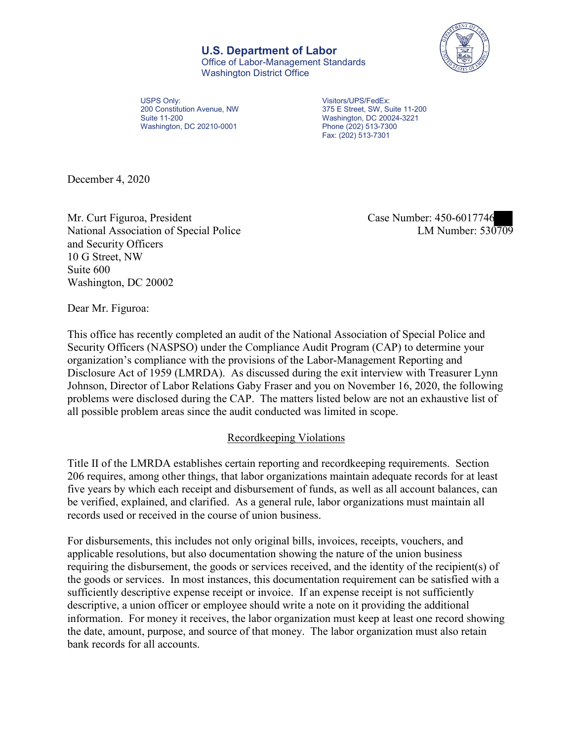**U.S. Department of Labor** Office of Labor-Management Standards Washington District Office



USPS Only: 200 Constitution Avenue, NW Suite 11-200 Washington, DC 20210-0001

 375 E Street, SW, Suite 11-200 Visitors/UPS/FedEx: Washington, DC 20024-3221 Phone (202) 513-7300 Fax: (202) 513-7301

December 4, 2020

Mr. Curt Figuroa, President Case Number: 450-6017746 National Association of Special Police and Security Officers 10 G Street, NW Suite 600 Washington, DC 20002

LM Number:  $530709$ 

Dear Mr. Figuroa:

 This office has recently completed an audit of the National Association of Special Police and Security Officers (NASPSO) under the Compliance Audit Program (CAP) to determine your organization's compliance with the provisions of the Labor-Management Reporting and Disclosure Act of 1959 (LMRDA). As discussed during the exit interview with Treasurer Lynn Johnson, Director of Labor Relations Gaby Fraser and you on November 16, 2020, the following problems were disclosed during the CAP. The matters listed below are not an exhaustive list of all possible problem areas since the audit conducted was limited in scope.

# Recordkeeping Violations

 Title II of the LMRDA establishes certain reporting and recordkeeping requirements. Section 206 requires, among other things, that labor organizations maintain adequate records for at least five years by which each receipt and disbursement of funds, as well as all account balances, can be verified, explained, and clarified. As a general rule, labor organizations must maintain all records used or received in the course of union business.

For disbursements, this includes not only original bills, invoices, receipts, vouchers, and applicable resolutions, but also documentation showing the nature of the union business requiring the disbursement, the goods or services received, and the identity of the recipient(s) of the goods or services. In most instances, this documentation requirement can be satisfied with a sufficiently descriptive expense receipt or invoice. If an expense receipt is not sufficiently descriptive, a union officer or employee should write a note on it providing the additional information. For money it receives, the labor organization must keep at least one record showing the date, amount, purpose, and source of that money. The labor organization must also retain bank records for all accounts.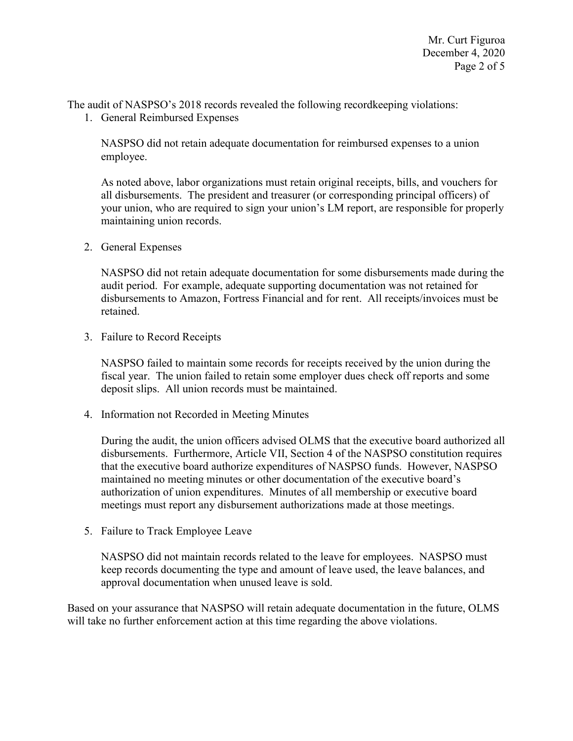The audit of NASPSO's 2018 records revealed the following recordkeeping violations: 1. General Reimbursed Expenses

 NASPSO did not retain adequate documentation for reimbursed expenses to a union employee.

 all disbursements. The president and treasurer (or corresponding principal officers) of As noted above, labor organizations must retain original receipts, bills, and vouchers for your union, who are required to sign your union's LM report, are responsible for properly maintaining union records.

2. General Expenses

NASPSO did not retain adequate documentation for some disbursements made during the audit period. For example, adequate supporting documentation was not retained for disbursements to Amazon, Fortress Financial and for rent. All receipts/invoices must be retained.

3. Failure to Record Receipts

 NASPSO failed to maintain some records for receipts received by the union during the fiscal year. The union failed to retain some employer dues check off reports and some deposit slips. All union records must be maintained.

4. Information not Recorded in Meeting Minutes

During the audit, the union officers advised OLMS that the executive board authorized all disbursements. Furthermore, Article VII, Section 4 of the NASPSO constitution requires that the executive board authorize expenditures of NASPSO funds. However, NASPSO maintained no meeting minutes or other documentation of the executive board's authorization of union expenditures. Minutes of all membership or executive board meetings must report any disbursement authorizations made at those meetings.

5. Failure to Track Employee Leave

NASPSO did not maintain records related to the leave for employees. NASPSO must keep records documenting the type and amount of leave used, the leave balances, and approval documentation when unused leave is sold.

Based on your assurance that NASPSO will retain adequate documentation in the future, OLMS will take no further enforcement action at this time regarding the above violations.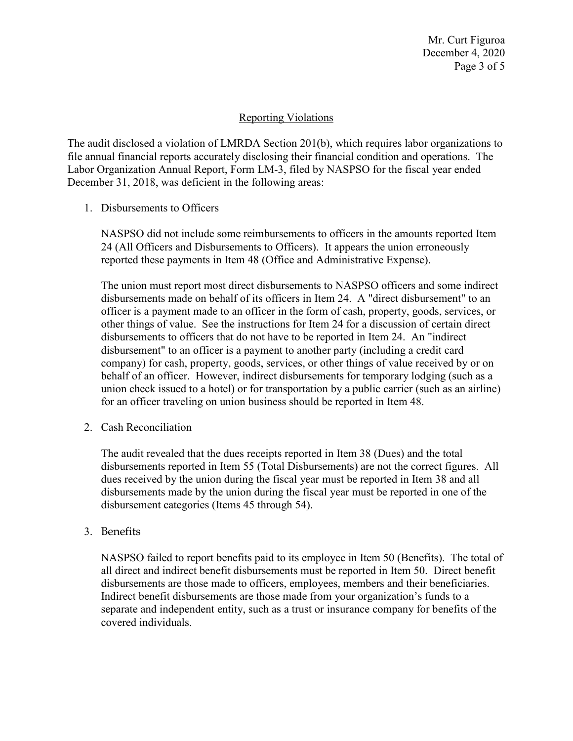## Reporting Violations

 Labor Organization Annual Report, Form LM-3, filed by NASPSO for the fiscal year ended The audit disclosed a violation of LMRDA Section 201(b), which requires labor organizations to file annual financial reports accurately disclosing their financial condition and operations. The December 31, 2018, was deficient in the following areas:

1. Disbursements to Officers

NASPSO did not include some reimbursements to officers in the amounts reported Item 24 (All Officers and Disbursements to Officers). It appears the union erroneously reported these payments in Item 48 (Office and Administrative Expense).

 union check issued to a hotel) or for transportation by a public carrier (such as an airline) The union must report most direct disbursements to NASPSO officers and some indirect disbursements made on behalf of its officers in Item 24. A "direct disbursement" to an officer is a payment made to an officer in the form of cash, property, goods, services, or other things of value. See the instructions for Item 24 for a discussion of certain direct disbursements to officers that do not have to be reported in Item 24. An "indirect disbursement" to an officer is a payment to another party (including a credit card company) for cash, property, goods, services, or other things of value received by or on behalf of an officer. However, indirect disbursements for temporary lodging (such as a for an officer traveling on union business should be reported in Item 48.

2. Cash Reconciliation

 disbursements reported in Item 55 (Total Disbursements) are not the correct figures. All dues received by the union during the fiscal year must be reported in Item 38 and all disbursements made by the union during the fiscal year must be reported in one of the The audit revealed that the dues receipts reported in Item 38 (Dues) and the total disbursement categories (Items 45 through 54).

3. Benefits

 NASPSO failed to report benefits paid to its employee in Item 50 (Benefits). The total of disbursements are those made to officers, employees, members and their beneficiaries. separate and independent entity, such as a trust or insurance company for benefits of the all direct and indirect benefit disbursements must be reported in Item 50. Direct benefit Indirect benefit disbursements are those made from your organization's funds to a covered individuals.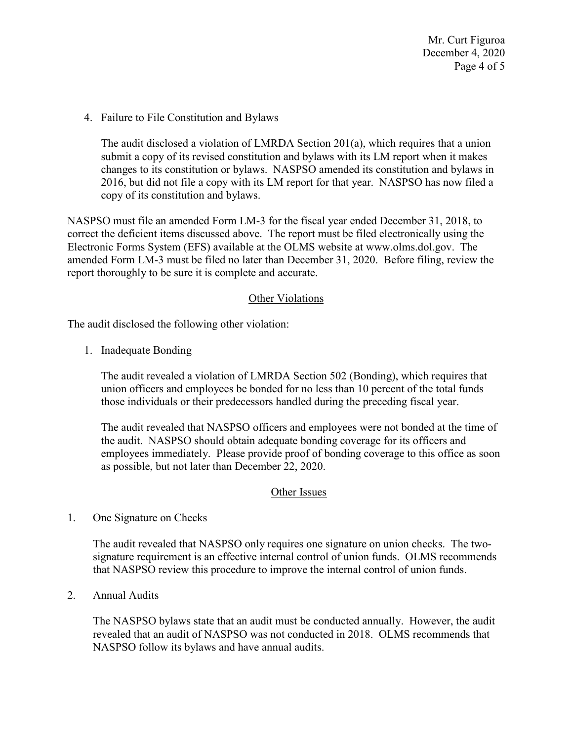Mr. Curt Figuroa December 4, 2020 Page 4 of 5

4. Failure to File Constitution and Bylaws

 2016, but did not file a copy with its LM report for that year. NASPSO has now filed a The audit disclosed a violation of LMRDA Section 201(a), which requires that a union submit a copy of its revised constitution and bylaws with its LM report when it makes changes to its constitution or bylaws. NASPSO amended its constitution and bylaws in copy of its constitution and bylaws.

 NASPSO must file an amended Form LM-3 for the fiscal year ended December 31, 2018, to report thoroughly to be sure it is complete and accurate.<br>Other Violations correct the deficient items discussed above. The report must be filed electronically using the Electronic Forms System (EFS) available at the OLMS website at [www.olms.dol.gov.](www.olms.dol.gov) The amended Form LM-3 must be filed no later than December 31, 2020. Before filing, review the

The audit disclosed the following other violation:

1. Inadequate Bonding

 those individuals or their predecessors handled during the preceding fiscal year. The audit revealed a violation of LMRDA Section 502 (Bonding), which requires that union officers and employees be bonded for no less than 10 percent of the total funds

The audit revealed that NASPSO officers and employees were not bonded at the time of the audit. NASPSO should obtain adequate bonding coverage for its officers and employees immediately. Please provide proof of bonding coverage to this office as soon as possible, but not later than December 22, 2020.

### Other Issues

1. One Signature on Checks

The audit revealed that NASPSO only requires one signature on union checks. The twosignature requirement is an effective internal control of union funds. OLMS recommends that NASPSO review this procedure to improve the internal control of union funds.

2. Annual Audits

The NASPSO bylaws state that an audit must be conducted annually. However, the audit revealed that an audit of NASPSO was not conducted in 2018. OLMS recommends that NASPSO follow its bylaws and have annual audits.